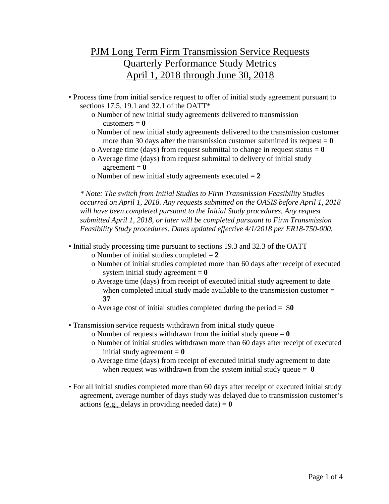## PJM Long Term Firm Transmission Service Requests Quarterly Performance Study Metrics April 1, 2018 through June 30, 2018

- Process time from initial service request to offer of initial study agreement pursuant to sections 17.5, 19.1 and 32.1 of the OATT\*
	- o Number of new initial study agreements delivered to transmission customers  $= 0$
	- o Number of new initial study agreements delivered to the transmission customer more than 30 days after the transmission customer submitted its request  $= 0$
	- o Average time (days) from request submittal to change in request status  $= 0$
	- o Average time (days) from request submittal to delivery of initial study  $agreement = 0$
	- o Number of new initial study agreements executed = **2**

*\* Note: The switch from Initial Studies to Firm Transmission Feasibility Studies occurred on April 1, 2018. Any requests submitted on the OASIS before April 1, 2018 will have been completed pursuant to the Initial Study procedures. Any request submitted April 1, 2018, or later will be completed pursuant to Firm Transmission Feasibility Study procedures. Dates updated effective 4/1/2018 per ER18-750-000.*

- Initial study processing time pursuant to sections 19.3 and 32.3 of the OATT
	- o Number of initial studies completed = **2**
	- o Number of initial studies completed more than 60 days after receipt of executed system initial study agreement  $= 0$
	- o Average time (days) from receipt of executed initial study agreement to date when completed initial study made available to the transmission customer = **37**
	- o Average cost of initial studies completed during the period = \$**0**
- Transmission service requests withdrawn from initial study queue
	- o Number of requests withdrawn from the initial study queue  $= 0$
	- o Number of initial studies withdrawn more than 60 days after receipt of executed initial study agreement  $= 0$
	- o Average time (days) from receipt of executed initial study agreement to date when request was withdrawn from the system initial study queue  $= 0$
- For all initial studies completed more than 60 days after receipt of executed initial study agreement, average number of days study was delayed due to transmission customer's actions (e.g., delays in providing needed data)  $= 0$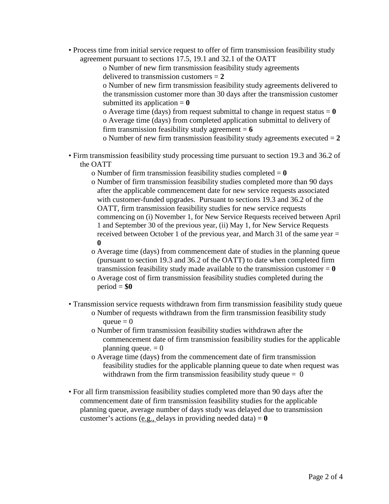• Process time from initial service request to offer of firm transmission feasibility study agreement pursuant to sections 17.5, 19.1 and 32.1 of the OATT

> o Number of new firm transmission feasibility study agreements delivered to transmission customers = **2**

o Number of new firm transmission feasibility study agreements delivered to the transmission customer more than 30 days after the transmission customer submitted its application  $= 0$ 

o Average time (days) from request submittal to change in request status  $= 0$ o Average time (days) from completed application submittal to delivery of firm transmission feasibility study agreement  $= 6$ 

o Number of new firm transmission feasibility study agreements executed = **2**

- Firm transmission feasibility study processing time pursuant to section 19.3 and 36.2 of the OATT
	- o Number of firm transmission feasibility studies completed  $= 0$
	- o Number of firm transmission feasibility studies completed more than 90 days after the applicable commencement date for new service requests associated with customer-funded upgrades. Pursuant to sections 19.3 and 36.2 of the OATT, firm transmission feasibility studies for new service requests commencing on (i) November 1, for New Service Requests received between April 1 and September 30 of the previous year, (ii) May 1, for New Service Requests received between October 1 of the previous year, and March 31 of the same year = **0**
	- o Average time (days) from commencement date of studies in the planning queue (pursuant to section 19.3 and 36.2 of the OATT) to date when completed firm transmission feasibility study made available to the transmission customer  $= 0$
	- o Average cost of firm transmission feasibility studies completed during the  $period = $0$
- Transmission service requests withdrawn from firm transmission feasibility study queue
	- o Number of requests withdrawn from the firm transmission feasibility study queue  $= 0$
	- o Number of firm transmission feasibility studies withdrawn after the commencement date of firm transmission feasibility studies for the applicable planning queue.  $= 0$
	- o Average time (days) from the commencement date of firm transmission feasibility studies for the applicable planning queue to date when request was withdrawn from the firm transmission feasibility study queue  $= 0$
- For all firm transmission feasibility studies completed more than 90 days after the commencement date of firm transmission feasibility studies for the applicable planning queue, average number of days study was delayed due to transmission customer's actions (e.g., delays in providing needed data)  $= 0$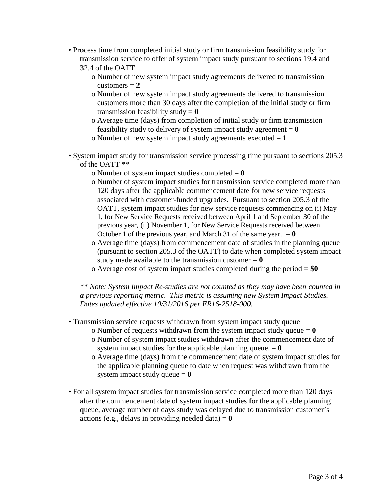- Process time from completed initial study or firm transmission feasibility study for transmission service to offer of system impact study pursuant to sections 19.4 and 32.4 of the OATT
	- o Number of new system impact study agreements delivered to transmission  $\text{customers} = 2$
	- o Number of new system impact study agreements delivered to transmission customers more than 30 days after the completion of the initial study or firm transmission feasibility study  $= 0$
	- o Average time (days) from completion of initial study or firm transmission feasibility study to delivery of system impact study agreement  $= 0$
	- o Number of new system impact study agreements executed = **1**
- System impact study for transmission service processing time pursuant to sections 205.3 of the OATT \*\*
	- o Number of system impact studies completed = **0**
	- o Number of system impact studies for transmission service completed more than 120 days after the applicable commencement date for new service requests associated with customer-funded upgrades. Pursuant to section 205.3 of the OATT, system impact studies for new service requests commencing on (i) May 1, for New Service Requests received between April 1 and September 30 of the previous year, (ii) November 1, for New Service Requests received between October 1 of the previous year, and March 31 of the same year.  $= 0$
	- o Average time (days) from commencement date of studies in the planning queue (pursuant to section 205.3 of the OATT) to date when completed system impact study made available to the transmission customer  $= 0$
	- o Average cost of system impact studies completed during the period = **\$0**

*\*\* Note: System Impact Re-studies are not counted as they may have been counted in a previous reporting metric. This metric is assuming new System Impact Studies. Dates updated effective 10/31/2016 per ER16-2518-000.*

• Transmission service requests withdrawn from system impact study queue

- o Number of requests withdrawn from the system impact study queue  $= 0$ o Number of system impact studies withdrawn after the commencement date of system impact studies for the applicable planning queue.  $= 0$
- o Average time (days) from the commencement date of system impact studies for the applicable planning queue to date when request was withdrawn from the system impact study queue  $= 0$
- For all system impact studies for transmission service completed more than 120 days after the commencement date of system impact studies for the applicable planning queue, average number of days study was delayed due to transmission customer's actions (e.g., delays in providing needed data)  $= 0$